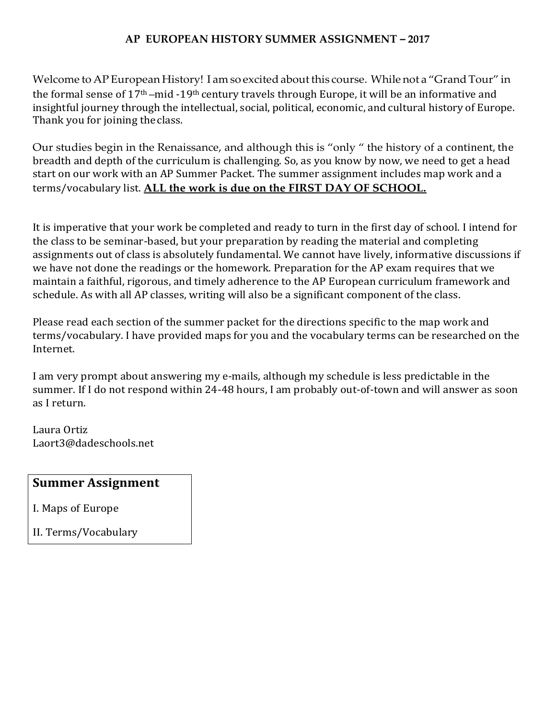### **AP EUROPEAN HISTORY SUMMER ASSIGNMENT** *–* **2017**

Welcome to AP European History! I am so excited about this course. While not a "Grand Tour" in the formal sense of 17th –mid -19th century travels through Europe, it will be an informative and insightful journey through the intellectual, social, political, economic, and cultural history of Europe. Thank you for joining theclass.

Our studies begin in the Renaissance, and although this is "only " the history of a continent, the breadth and depth of the curriculum is challenging. So, as you know by now, we need to get a head start on our work with an AP Summer Packet. The summer assignment includes map work and a terms/vocabulary list. **ALL the work is due on the FIRST DAY OF SCHOOL.**

It is imperative that your work be completed and ready to turn in the first day of school. I intend for the class to be seminar-based, but your preparation by reading the material and completing assignments out of class is absolutely fundamental. We cannot have lively, informative discussions if we have not done the readings or the homework. Preparation for the AP exam requires that we maintain a faithful, rigorous, and timely adherence to the AP European curriculum framework and schedule. As with all AP classes, writing will also be a significant component of the class.

Please read each section of the summer packet for the directions specific to the map work and terms/vocabulary. I have provided maps for you and the vocabulary terms can be researched on the Internet.

I am very prompt about answering my e-mails, although my schedule is less predictable in the summer. If I do not respond within 24-48 hours, I am probably out-of-town and will answer as soon as I return.

Laura Ortiz Laort3@dadeschools.net

### **Summer Assignment**

I. Maps of Europe

II. Terms/Vocabulary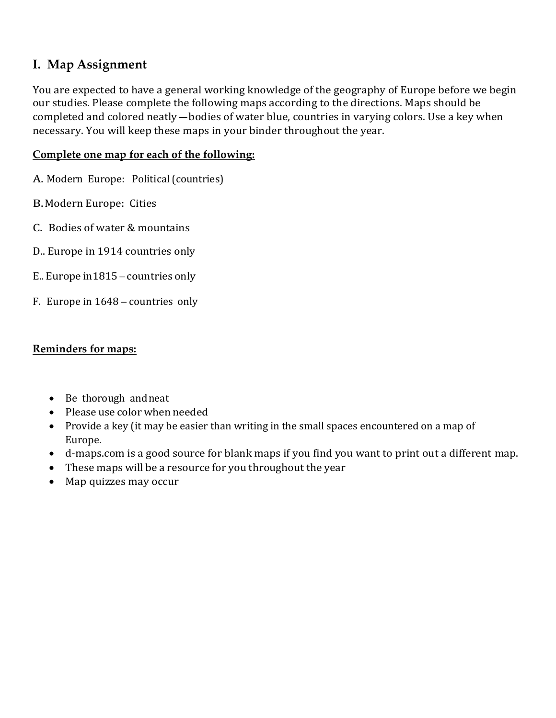## **I. Map Assignment**

You are expected to have a general working knowledge of the geography of Europe before we begin our studies. Please complete the following maps according to the directions. Maps should be completed and colored neatly—bodies of water blue, countries in varying colors. Use a key when necessary. You will keep these maps in your binder throughout the year.

### **Complete one map for each of the following:**

- A. Modern Europe: Political (countries)
- B.Modern Europe: Cities
- C. Bodies of water & mountains
- D.. Europe in 1914 countries only
- E.. Europe in1815 countries only
- F. Europe in 1648 countries only

### **Reminders for maps:**

- Be thorough and neat
- Please use colorwhen needed
- Provide a key (it may be easier than writing in the small spaces encountered on a map of Europe.
- d-maps.com is a good source for blank maps if you find you want to print out a different map.
- These maps will be a resource for you throughout the year
- Map quizzes may occur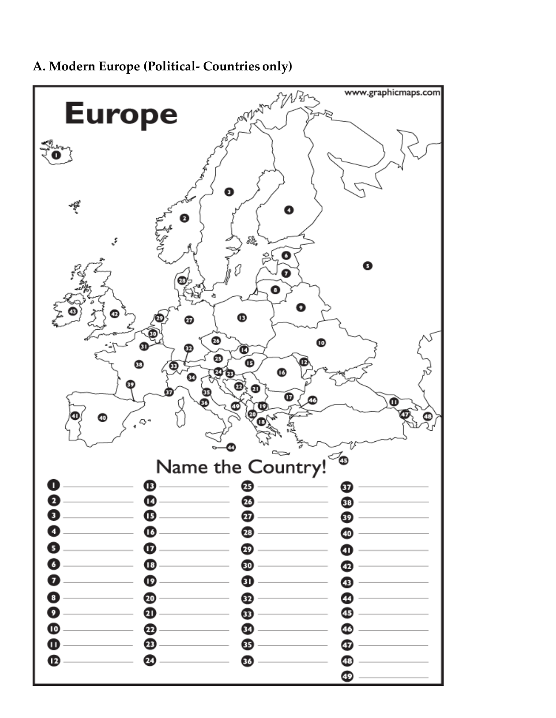

**A. Modern Europe (Political- Countries only)**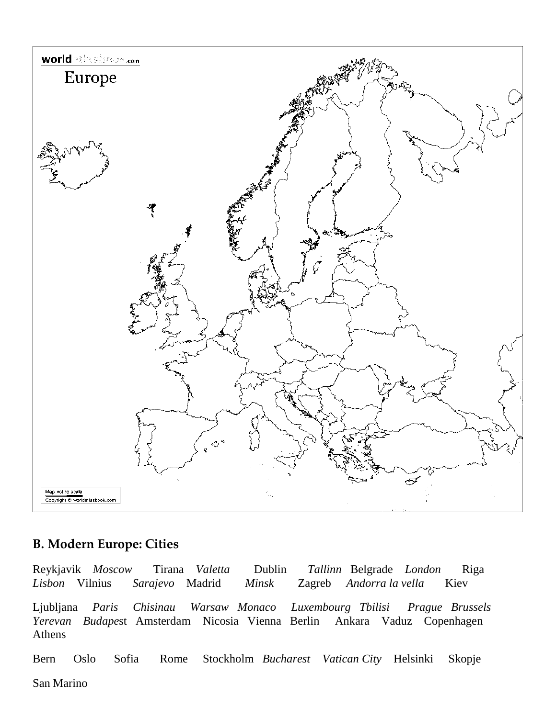

### **B. Modern Europe: Cities**

Reykjavik *Moscow* Tirana *Valetta* Dublin *Tallinn* Belgrade *London* Riga *Lisbon* Vilnius *Sarajevo* Madrid *Minsk* Zagreb *Andorra la vella* Kiev Ljubljana *Paris Chisinau Warsaw Monaco Luxembourg Tbilisi Prague Brussels Yerevan Budape*st Amsterdam Nicosia Vienna Berlin Ankara Vaduz Copenhagen Athens

Bern Oslo Sofia Rome Stockholm *Bucharest Vatican City* Helsinki Skopje

San Marino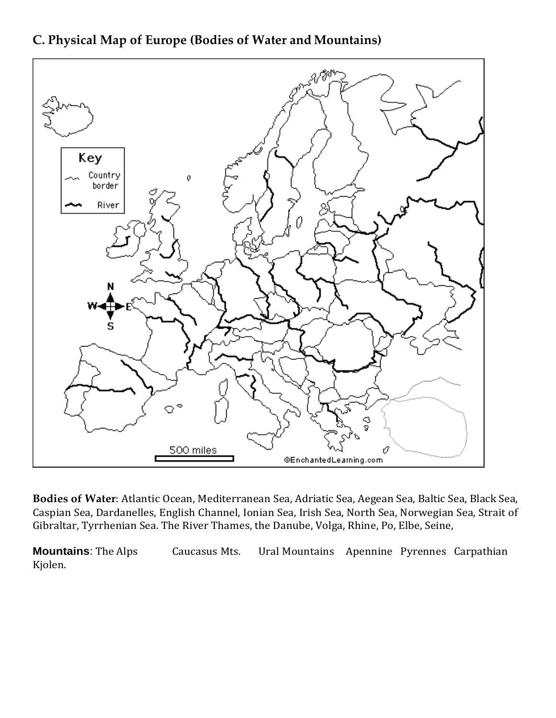

**C. Physical Map of Europe (Bodies of Water and Mountains)**

**Bodies of Water**: Atlantic Ocean, Mediterranean Sea, Adriatic Sea, Aegean Sea, Baltic Sea, Black Sea, Caspian Sea, Dardanelles, English Channel, Ionian Sea, Irish Sea, North Sea, Norwegian Sea, Strait of Gibraltar, Tyrrhenian Sea. The River Thames, the Danube, Volga, Rhine, Po, Elbe, Seine,

**Mountains**: The Alps **Caucasus Mts.** Ural Mountains Apennine Pyrennes Carpathian Kjolen.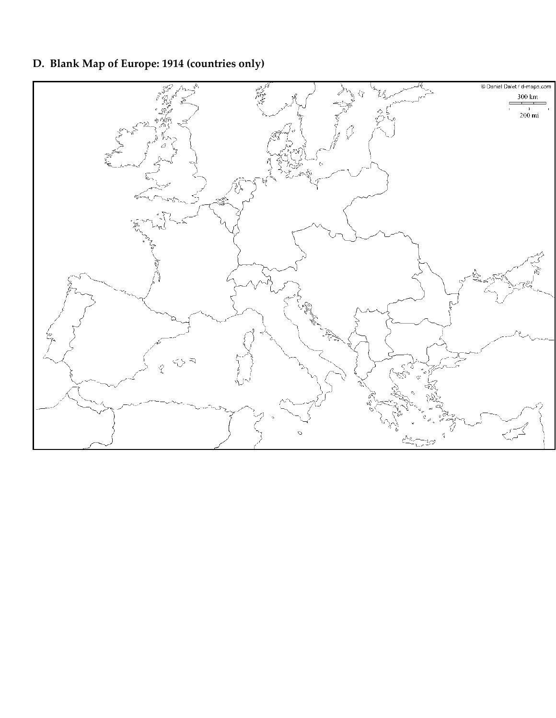## **D. Blank Map of Europe: 1914 (countries only)**

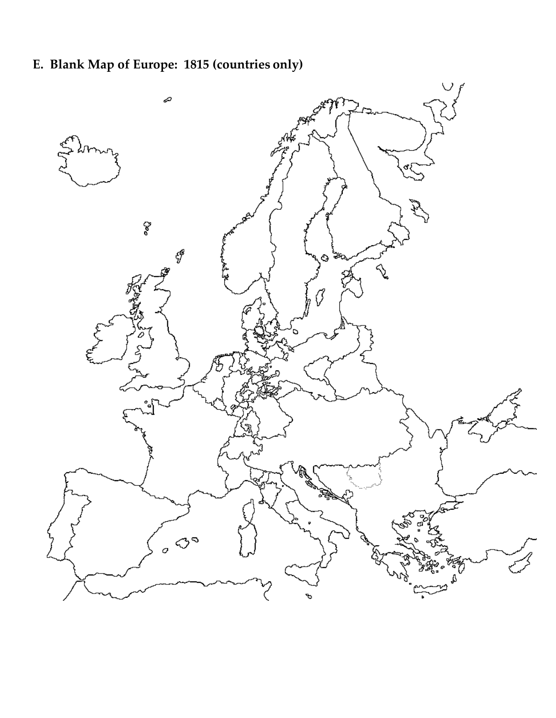# **E. Blank Map of Europe: 1815 (countries only)**

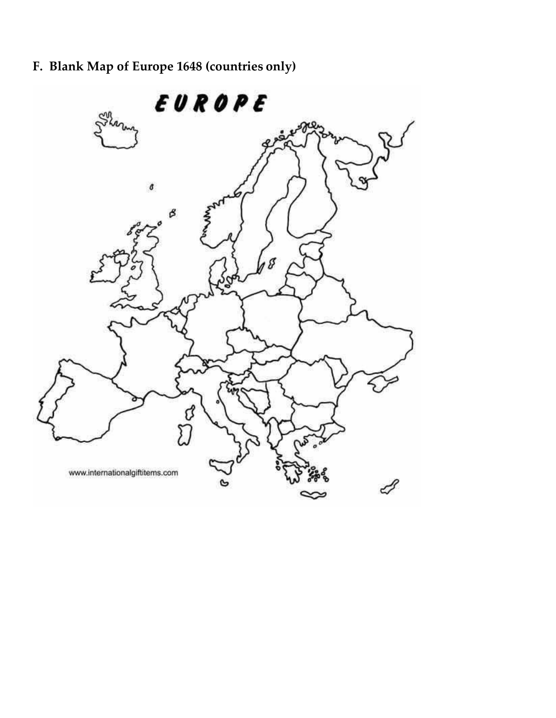# **F. Blank Map of Europe 1648 (countries only)**